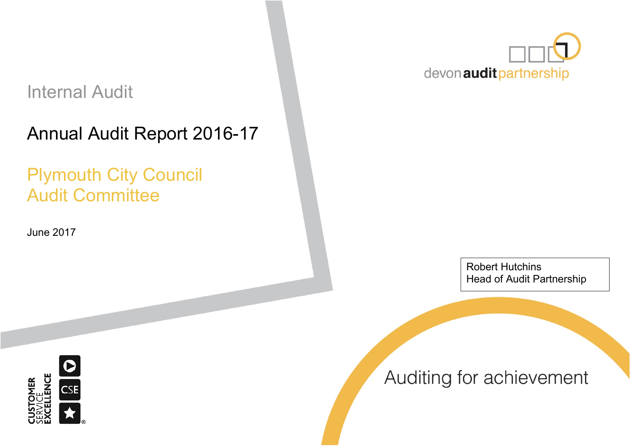# Internal Audit

# Annual Audit Report 2016-17

# Plymouth City Council Audit Committee

June 2017



Robert Hutchins Head of Audit Partnership



Auditing for achievement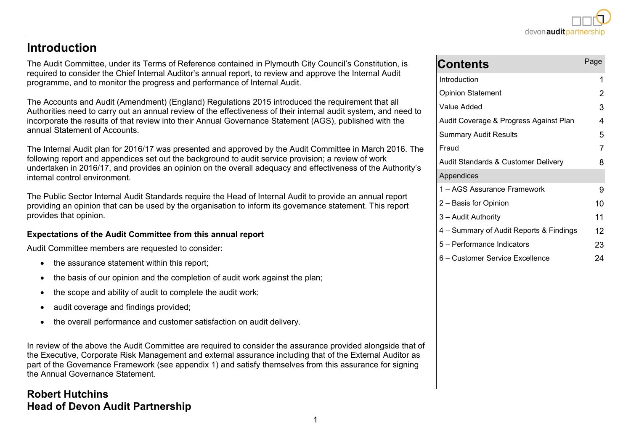### **Introduction**

The Audit Committee, under its Terms of Reference contained in Plymouth City Council's Constitution, is required to consider the Chief Internal Auditor's annual report, to review and approve the Internal Audit programme, and to monitor the progress and performance of Internal Audit.

The Accounts and Audit (Amendment) (England) Regulations 2015 introduced the requirement that all Authorities need to carry out an annual review of the effectiveness of their internal audit system, and need to incorporate the results of that review into their Annual Governance Statement (AGS), published with the annual Statement of Accounts.

The Internal Audit plan for 2016/17 was presented and approved by the Audit Committee in March 2016. The following report and appendices set out the background to audit service provision; a review of work undertaken in 2016/17, and provides an opinion on the overall adequacy and effectiveness of the Authority's internal control environment.

The Public Sector Internal Audit Standards require the Head of Internal Audit to provide an annual report providing an opinion that can be used by the organisation to inform its governance statement. This report provides that opinion.

#### **Expectations of the Audit Committee from this annual report**

Audit Committee members are requested to consider:

- the assurance statement within this report;
- the basis of our opinion and the completion of audit work against the plan;
- the scope and ability of audit to complete the audit work;
- audit coverage and findings provided;
- the overall performance and customer satisfaction on audit delivery.

In review of the above the Audit Committee are required to consider the assurance provided alongside that of the Executive, Corporate Risk Management and external assurance including that of the External Auditor as part of the Governance Framework (see appendix 1) and satisfy themselves from this assurance for signing the Annual Governance Statement.

### **Robert Hutchins Head of Devon Audit Partnership**

| <b>Contents</b>                         | Page |
|-----------------------------------------|------|
| Introduction                            | 1    |
| <b>Opinion Statement</b>                | 2    |
| Value Added                             | 3    |
| Audit Coverage & Progress Against Plan  | 4    |
| <b>Summary Audit Results</b>            | 5    |
| Fraud                                   | 7    |
| Audit Standards & Customer Delivery     | 8    |
| Appendices                              |      |
| 1 – AGS Assurance Framework             | 9    |
| 2 - Basis for Opinion                   | 10   |
| 3 - Audit Authority                     | 11   |
| 4 – Summary of Audit Reports & Findings | 12   |
| 5 - Performance Indicators              | 23   |
| 6 - Customer Service Excellence         | 24   |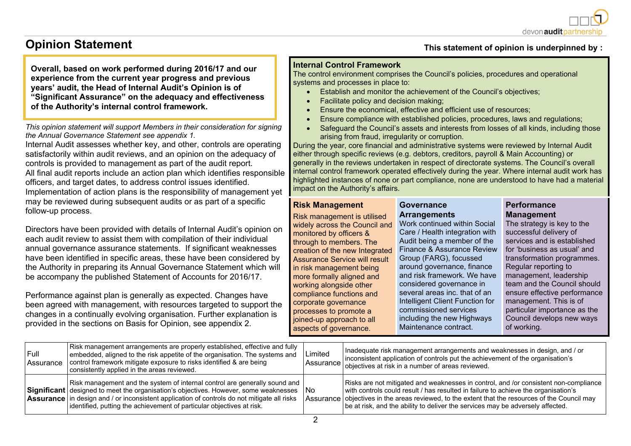

### **Opinion Statement**

**Overall, based on work performed during 2016/17 and our experience from the current year progress and previous years' audit, the Head of Internal Audit's Opinion is of "Significant Assurance" on the adequacy and effectiveness of the Authority's internal control framework.**

*This opinion statement will support Members in their consideration for signing the Annual Governance Statement see appendix 1.*

Internal Audit assesses whether key, and other, controls are operating satisfactorily within audit reviews, and an opinion on the adequacy of controls is provided to management as part of the audit report. All final audit reports include an action plan which identifies responsible officers, and target dates, to address control issues identified. Implementation of action plans is the responsibility of management yet may be reviewed during subsequent audits or as part of a specific follow-up process.

Directors have been provided with details of Internal Audit's opinion on each audit review to assist them with compilation of their individual annual governance assurance statements. If significant weaknesses have been identified in specific areas, these have been considered by the Authority in preparing its Annual Governance Statement which will be accompany the published Statement of Accounts for 2016/17.

Performance against plan is generally as expected. Changes have been agreed with management, with resources targeted to support the changes in a continually evolving organisation. Further explanation is provided in the sections on Basis for Opinion, see appendix 2.

#### **This statement of opinion is underpinned by :**

#### **Internal Control Framework**

The control environment comprises the Council's policies, procedures and operational systems and processes in place to:

- **Establish and monitor the achievement of the Council's objectives;**
- Facilitate policy and decision making;
- Ensure the economical, effective and efficient use of resources;
- Ensure compliance with established policies, procedures, laws and regulations;
- Safeguard the Council's assets and interests from losses of all kinds, including those arising from fraud, irregularity or corruption.

During the year, core financial and administrative systems were reviewed by Internal Audit either through specific reviews (e.g. debtors, creditors, payroll & Main Accounting) or generally in the reviews undertaken in respect of directorate systems. The Council's overall internal control framework operated effectively during the year. Where internal audit work has highlighted instances of none or part compliance, none are understood to have had a material impact on the Authority's affairs.

#### **Risk Management**

Risk management is utilised widely across the Council and Work continued within Social monitored by officers & through to members. The Assurance Service will result in risk management being more formally aligned and working alongside other compliance functions and corporate governance processes to promote a joined-up approach to all aspects of governance.

#### **Governance Arrangements**

creation of the new Integrated Finance & Assurance Review Care / Health integration with Audit being a member of the Group (FARG), focussed around governance, finance and risk framework. We have considered governance in several areas inc. that of an Intelligent Client Function for commissioned services including the new Highways Maintenance contract.

#### **Performance Management**

The strategy is key to the successful delivery of services and is established for 'business as usual' and transformation programmes. Regular reporting to management, leadership team and the Council should ensure effective performance management. This is of particular importance as the Council develops new ways of working.

| Full<br>l Assurance | Risk management arrangements are properly established, effective and fully<br>embedded, aligned to the risk appetite of the organisation. The systems and<br>control framework mitigate exposure to risks identified & are being<br>consistently applied in the areas reviewed.                                                            | Limited | Inadequate risk management arrangements and weaknesses in design, and / or<br>inconsistent application of controls put the achievement of the organisation's<br>Assurance objectives at risk in a number of areas reviewed.                                                                                                                                     |
|---------------------|--------------------------------------------------------------------------------------------------------------------------------------------------------------------------------------------------------------------------------------------------------------------------------------------------------------------------------------------|---------|-----------------------------------------------------------------------------------------------------------------------------------------------------------------------------------------------------------------------------------------------------------------------------------------------------------------------------------------------------------------|
|                     | Risk management and the system of internal control are generally sound and<br>Significant designed to meet the organisation's objectives. However, some weaknesses<br>Assurance in design and / or inconsistent application of controls do not mitigate all risks<br>identified, putting the achievement of particular objectives at risk. | l No    | Risks are not mitigated and weaknesses in control, and /or consistent non-compliance<br>with controls could result / has resulted in failure to achieve the organisation's<br>Assurance objectives in the areas reviewed, to the extent that the resources of the Council may<br>be at risk, and the ability to deliver the services may be adversely affected. |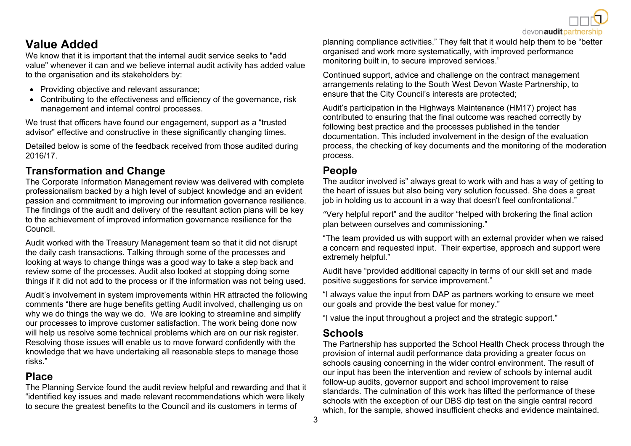## **Value Added**

We know that it is important that the internal audit service seeks to "add value" whenever it can and we believe internal audit activity has added value to the organisation and its stakeholders by:

- Providing objective and relevant assurance;
- Contributing to the effectiveness and efficiency of the governance, risk management and internal control processes.

We trust that officers have found our engagement, support as a "trusted advisor" effective and constructive in these significantly changing times.

Detailed below is some of the feedback received from those audited during 2016/17.

### **Transformation and Change**

The Corporate Information Management review was delivered with complete professionalism backed by a high level of subject knowledge and an evident passion and commitment to improving our information governance resilience. The findings of the audit and delivery of the resultant action plans will be key to the achievement of improved information governance resilience for the Council.

Audit worked with the Treasury Management team so that it did not disrupt the daily cash transactions. Talking through some of the processes and looking at ways to change things was a good way to take a step back and review some of the processes. Audit also looked at stopping doing some things if it did not add to the process or if the information was not being used.

Audit's involvement in system improvements within HR attracted the following comments "there are huge benefits getting Audit involved, challenging us on why we do things the way we do. We are looking to streamline and simplify our processes to improve customer satisfaction. The work being done now will help us resolve some technical problems which are on our risk register. Resolving those issues will enable us to move forward confidently with the knowledge that we have undertaking all reasonable steps to manage those risks."

#### **Place**

The Planning Service found the audit review helpful and rewarding and that it "identified key issues and made relevant recommendations which were likely to secure the greatest benefits to the Council and its customers in terms of

planning compliance activities." They felt that it would help them to be "better organised and work more systematically, with improved performance monitoring built in, to secure improved services."

Continued support, advice and challenge on the contract management arrangements relating to the South West Devon Waste Partnership, to ensure that the City Council's interests are protected;

Audit's participation in the Highways Maintenance (HM17) project has contributed to ensuring that the final outcome was reached correctly by following best practice and the processes published in the tender documentation. This included involvement in the design of the evaluation process, the checking of key documents and the monitoring of the moderation process.

### **People**

The auditor involved is" always great to work with and has a way of getting to the heart of issues but also being very solution focussed. She does a great job in holding us to account in a way that doesn't feel confrontational."

"Very helpful report" and the auditor "helped with brokering the final action plan between ourselves and commissioning."

"The team provided us with support with an external provider when we raised a concern and requested input. Their expertise, approach and support were extremely helpful."

Audit have "provided additional capacity in terms of our skill set and made positive suggestions for service improvement."

"I always value the input from DAP as partners working to ensure we meet our goals and provide the best value for money."

"I value the input throughout a project and the strategic support."

#### **Schools**

The Partnership has supported the School Health Check process through the provision of internal audit performance data providing a greater focus on schools causing concerning in the wider control environment. The result of our input has been the intervention and review of schools by internal audit follow-up audits, governor support and school improvement to raise standards. The culmination of this work has lifted the performance of these schools with the exception of our DBS dip test on the single central record which, for the sample, showed insufficient checks and evidence maintained.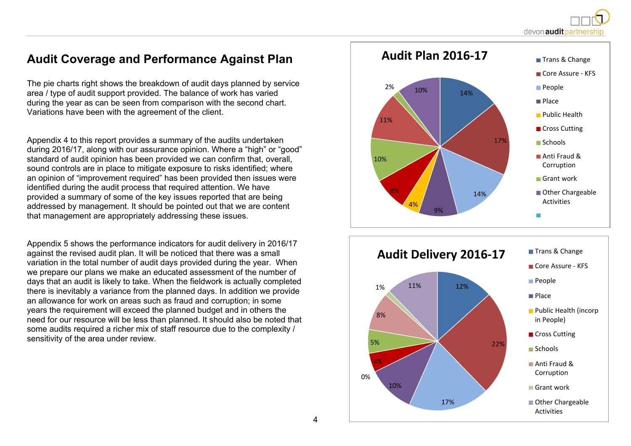devon audit partners

### **Audit Coverage and Performance Against Plan**

The pie charts right shows the breakdown of audit days planned by service area / type of audit support provided. The balance of work has varied during the year as can be seen from comparison with the second chart. Variations have been with the agreement of the client.

Appendix 4 to this report provides a summary of the audits undertaken during 2016/17, along with our assurance opinion. Where a "high" or "good" standard of audit opinion has been provided we can confirm that, overall, sound controls are in place to mitigate exposure to risks identified; where an opinion of "improvement required" has been provided then issues were identified during the audit process that required attention. We have provided a summary of some of the key issues reported that are being addressed by management. It should be pointed out that we are content that management are appropriately addressing these issues.

Appendix 5 shows the performance indicators for audit delivery in 2016/17 against the revised audit plan. It will be noticed that there was a small variation in the total number of audit days provided during the year. When we prepare our plans we make an educated assessment of the number of days that an audit is likely to take. When the fieldwork is actually completed there is inevitably a variance from the planned days. In addition we provide an allowance for work on areas such as fraud and corruption; in some years the requirement will exceed the planned budget and in others the need for our resource will be less than planned. It should also be noted that some audits required a richer mix of staff resource due to the complexity / sensitivity of the area under review.



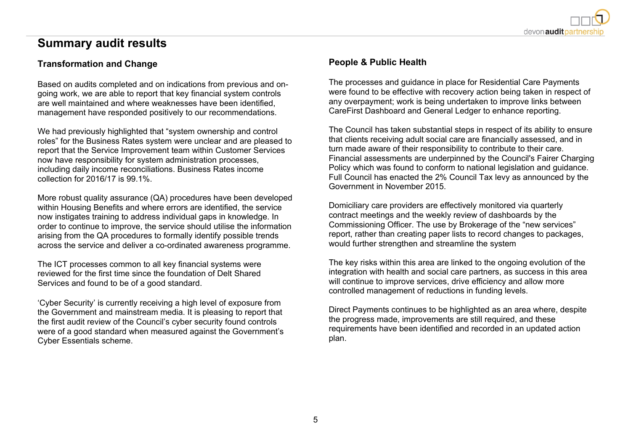

### **Summary audit results**

#### **Transformation and Change**

Based on audits completed and on indications from previous and ongoing work, we are able to report that key financial system controls are well maintained and where weaknesses have been identified, management have responded positively to our recommendations.

We had previously highlighted that "system ownership and control roles" for the Business Rates system were unclear and are pleased to report that the Service Improvement team within Customer Services now have responsibility for system administration processes, including daily income reconciliations. Business Rates income collection for 2016/17 is 99.1%.

More robust quality assurance (QA) procedures have been developed within Housing Benefits and where errors are identified, the service now instigates training to address individual gaps in knowledge. In order to continue to improve, the service should utilise the information arising from the QA procedures to formally identify possible trends across the service and deliver a co-ordinated awareness programme.

The ICT processes common to all key financial systems were reviewed for the first time since the foundation of Delt Shared Services and found to be of a good standard.

'Cyber Security' is currently receiving a high level of exposure from the Government and mainstream media. It is pleasing to report that the first audit review of the Council's cyber security found controls were of a good standard when measured against the Government's Cyber Essentials scheme.

#### **People & Public Health**

The processes and guidance in place for Residential Care Payments were found to be effective with recovery action being taken in respect of any overpayment; work is being undertaken to improve links between CareFirst Dashboard and General Ledger to enhance reporting.

The Council has taken substantial steps in respect of its ability to ensure that clients receiving adult social care are financially assessed, and in turn made aware of their responsibility to contribute to their care. Financial assessments are underpinned by the Council's Fairer Charging Policy which was found to conform to national legislation and guidance. Full Council has enacted the 2% Council Tax levy as announced by the Government in November 2015.

Domiciliary care providers are effectively monitored via quarterly contract meetings and the weekly review of dashboards by the Commissioning Officer. The use by Brokerage of the "new services" report, rather than creating paper lists to record changes to packages, would further strengthen and streamline the system

The key risks within this area are linked to the ongoing evolution of the integration with health and social care partners, as success in this area will continue to improve services, drive efficiency and allow more controlled management of reductions in funding levels.

Direct Payments continues to be highlighted as an area where, despite the progress made, improvements are still required, and these requirements have been identified and recorded in an updated action plan.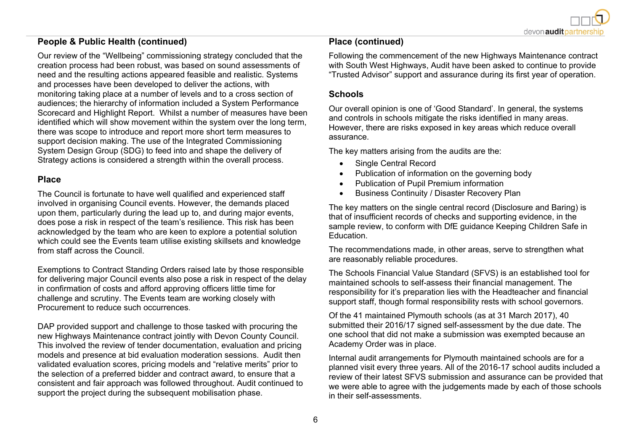#### **People & Public Health (continued)**

Our review of the "Wellbeing" commissioning strategy concluded that the creation process had been robust, was based on sound assessments of need and the resulting actions appeared feasible and realistic. Systems and processes have been developed to deliver the actions, with monitoring taking place at a number of levels and to a cross section of audiences; the hierarchy of information included a System Performance Scorecard and Highlight Report. Whilst a number of measures have been identified which will show movement within the system over the long term, there was scope to introduce and report more short term measures to support decision making. The use of the Integrated Commissioning System Design Group (SDG) to feed into and shape the delivery of Strategy actions is considered a strength within the overall process.

#### **Place**

The Council is fortunate to have well qualified and experienced staff involved in organising Council events. However, the demands placed upon them, particularly during the lead up to, and during major events, does pose a risk in respect of the team's resilience. This risk has been acknowledged by the team who are keen to explore a potential solution which could see the Events team utilise existing skillsets and knowledge from staff across the Council.

Exemptions to Contract Standing Orders raised late by those responsible for delivering major Council events also pose a risk in respect of the delay in confirmation of costs and afford approving officers little time for challenge and scrutiny. The Events team are working closely with Procurement to reduce such occurrences.

DAP provided support and challenge to those tasked with procuring the new Highways Maintenance contract jointly with Devon County Council. This involved the review of tender documentation, evaluation and pricing models and presence at bid evaluation moderation sessions. Audit then validated evaluation scores, pricing models and "relative merits" prior to the selection of a preferred bidder and contract award, to ensure that a consistent and fair approach was followed throughout. Audit continued to support the project during the subsequent mobilisation phase.

#### **Place (continued)**

Following the commencement of the new Highways Maintenance contract with South West Highways, Audit have been asked to continue to provide "Trusted Advisor" support and assurance during its first year of operation.

#### **Schools**

Our overall opinion is one of 'Good Standard'. In general, the systems and controls in schools mitigate the risks identified in many areas. However, there are risks exposed in key areas which reduce overall assurance.

The key matters arising from the audits are the:

- Single Central Record
- Publication of information on the governing body
- Publication of Pupil Premium information
- Business Continuity / Disaster Recovery Plan

The key matters on the single central record (Disclosure and Baring) is that of insufficient records of checks and supporting evidence, in the sample review, to conform with DfE guidance Keeping Children Safe in **Education** 

The recommendations made, in other areas, serve to strengthen what are reasonably reliable procedures.

The Schools Financial Value Standard (SFVS) is an established tool for maintained schools to self-assess their financial management. The responsibility for it's preparation lies with the Headteacher and financial support staff, though formal responsibility rests with school governors.

Of the 41 maintained Plymouth schools (as at 31 March 2017), 40 submitted their 2016/17 signed self-assessment by the due date. The one school that did not make a submission was exempted because an Academy Order was in place.

Internal audit arrangements for Plymouth maintained schools are for a planned visit every three years. All of the 2016-17 school audits included a review of their latest SFVS submission and assurance can be provided that we were able to agree with the judgements made by each of those schools in their self-assessments.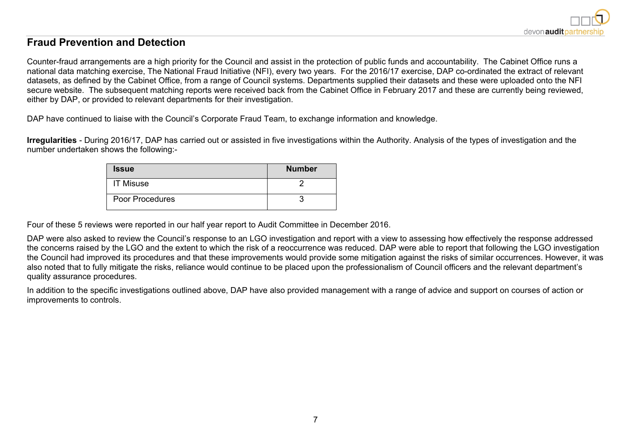

#### **Fraud Prevention and Detection**

Counter-fraud arrangements are a high priority for the Council and assist in the protection of public funds and accountability. The Cabinet Office runs a national data matching exercise, The National Fraud Initiative (NFI), every two years. For the 2016/17 exercise, DAP co-ordinated the extract of relevant datasets, as defined by the Cabinet Office, from a range of Council systems. Departments supplied their datasets and these were uploaded onto the NFI secure website. The subsequent matching reports were received back from the Cabinet Office in February 2017 and these are currently being reviewed, either by DAP, or provided to relevant departments for their investigation.

DAP have continued to liaise with the Council's Corporate Fraud Team, to exchange information and knowledge.

**Irregularities** - During 2016/17, DAP has carried out or assisted in five investigations within the Authority. Analysis of the types of investigation and the number undertaken shows the following:-

| <b>Issue</b>     | <b>Number</b> |
|------------------|---------------|
| <b>IT Misuse</b> |               |
| Poor Procedures  |               |

Four of these 5 reviews were reported in our half year report to Audit Committee in December 2016.

DAP were also asked to review the Council's response to an LGO investigation and report with a view to assessing how effectively the response addressed the concerns raised by the LGO and the extent to which the risk of a reoccurrence was reduced. DAP were able to report that following the LGO investigation the Council had improved its procedures and that these improvements would provide some mitigation against the risks of similar occurrences. However, it was also noted that to fully mitigate the risks, reliance would continue to be placed upon the professionalism of Council officers and the relevant department's quality assurance procedures.

In addition to the specific investigations outlined above, DAP have also provided management with a range of advice and support on courses of action or improvements to controls.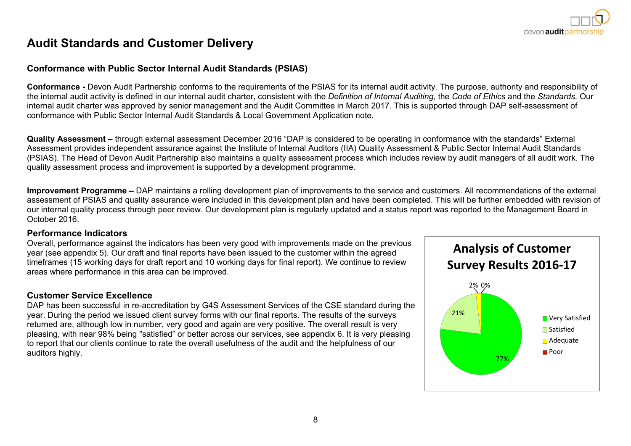

### **Audit Standards and Customer Delivery**

#### **Conformance with Public Sector Internal Audit Standards (PSIAS)**

**Conformance -** Devon Audit Partnership conforms to the requirements of the PSIAS for its internal audit activity. The purpose, authority and responsibility of the internal audit activity is defined in our internal audit charter, consistent with the *Definition of Internal Auditing,* the *Code of Ethics* and the *Standards.* Our internal audit charter was approved by senior management and the Audit Committee in March 2017. This is supported through DAP self-assessment of conformance with Public Sector Internal Audit Standards & Local Government Application note.

**Quality Assessment –** through external assessment December 2016 "DAP is considered to be operating in conformance with the standards" External Assessment provides independent assurance against the Institute of Internal Auditors (IIA) Quality Assessment & Public Sector Internal Audit Standards (PSIAS). The Head of Devon Audit Partnership also maintains a quality assessment process which includes review by audit managers of all audit work. The quality assessment process and improvement is supported by a development programme.

**Improvement Programme –** DAP maintains a rolling development plan of improvements to the service and customers. All recommendations of the external assessment of PSIAS and quality assurance were included in this development plan and have been completed. This will be further embedded with revision of our internal quality process through peer review. Our development plan is regularly updated and a status report was reported to the Management Board in October 2016.

#### **Performance Indicators**

Overall, performance against the indicators has been very good with improvements made on the previous year (see appendix 5). Our draft and final reports have been issued to the customer within the agreed timeframes (15 working days for draft report and 10 working days for final report). We continue to review areas where performance in this area can be improved.

#### **Customer Service Excellence**

DAP has been successful in re-accreditation by G4S Assessment Services of the CSE standard during the year. During the period we issued client survey forms with our final reports. The results of the surveys returned are, although low in number, very good and again are very positive. The overall result is very pleasing, with near 98% being "satisfied" or better across our services, see appendix 6. It is very pleasing to report that our clients continue to rate the overall usefulness of the audit and the helpfulness of our auditors highly.

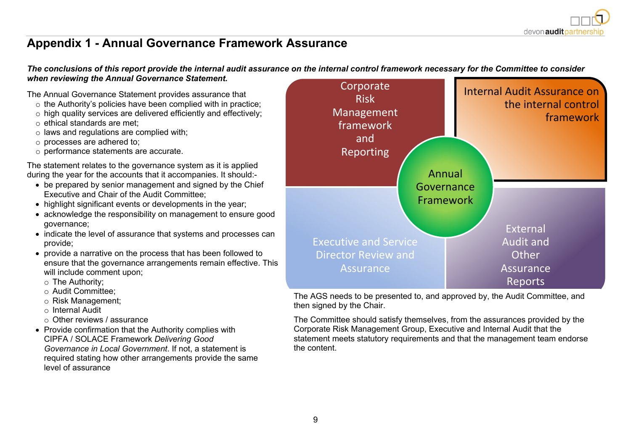### **Appendix 1 - Annual Governance Framework Assurance**

The conclusions of this report provide the internal audit assurance on the internal control framework necessary for the Committee to consider *when reviewing the Annual Governance Statement.*

The Annual Governance Statement provides assurance that

- o the Authority's policies have been complied with in practice;
- o high quality services are delivered efficiently and effectively;
- o ethical standards are met;
- $\circ$  laws and regulations are complied with;
- o processes are adhered to;
- o performance statements are accurate.

The statement relates to the governance system as it is applied during the year for the accounts that it accompanies. It should:-

- be prepared by senior management and signed by the Chief Executive and Chair of the Audit Committee;
- highlight significant events or developments in the year;
- acknowledge the responsibility on management to ensure good governance;
- indicate the level of assurance that systems and processes can provide;
- provide a narrative on the process that has been followed to ensure that the governance arrangements remain effective. This will include comment upon;
	- o The Authority;
	- o Audit Committee;
	- o Risk Management;
	- o Internal Audit
	- o Other reviews / assurance
- Provide confirmation that the Authority complies with CIPFA / SOLACE Framework *Delivering Good Governance in Local Government*. If not, a statement is required stating how other arrangements provide the same level of assurance



The AGS needs to be presented to, and approved by, the Audit Committee, and then signed by the Chair.

The Committee should satisfy themselves, from the assurances provided by the Corporate Risk Management Group, Executive and Internal Audit that the statement meets statutory requirements and that the management team endorse the content.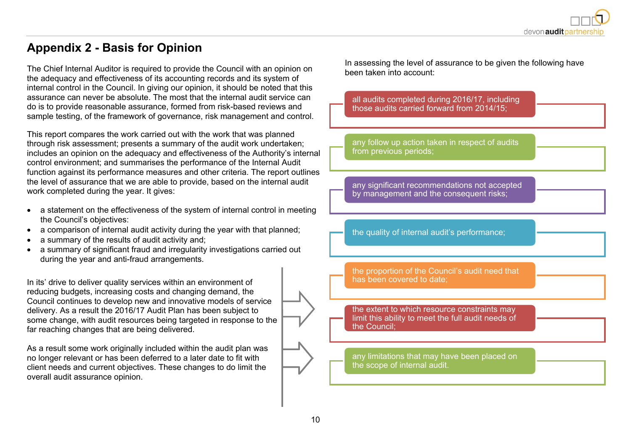### **Appendix 2 - Basis for Opinion**

The Chief Internal Auditor is required to provide the Council with an opinion on the adequacy and effectiveness of its accounting records and its system of internal control in the Council. In giving our opinion, it should be noted that this assurance can never be absolute. The most that the internal audit service can do is to provide reasonable assurance, formed from risk-based reviews and sample testing, of the framework of governance, risk management and control.

This report compares the work carried out with the work that was planned through risk assessment; presents a summary of the audit work undertaken; includes an opinion on the adequacy and effectiveness of the Authority's internal control environment; and summarises the performance of the Internal Audit function against its performance measures and other criteria. The report outlines the level of assurance that we are able to provide, based on the internal audit work completed during the year. It gives:

- a statement on the effectiveness of the system of internal control in meeting the Council's objectives:
- a comparison of internal audit activity during the year with that planned;
- a summary of the results of audit activity and;
- a summary of significant fraud and irregularity investigations carried out during the year and anti-fraud arrangements.

In its' drive to deliver quality services within an environment of reducing budgets, increasing costs and changing demand, the Council continues to develop new and innovative models of service delivery. As a result the 2016/17 Audit Plan has been subject to some change, with audit resources being targeted in response to the far reaching changes that are being delivered.

As a result some work originally included within the audit plan was no longer relevant or has been deferred to a later date to fit with client needs and current objectives. These changes to do limit the overall audit assurance opinion.

In assessing the level of assurance to be given the following have been taken into account:

all audits completed during 2016/17, including those audits carried forward from 2014/15;

any follow up action taken in respect of audits from previous periods;

any significant recommendations not accepted by management and the consequent risks:

the quality of internal audit's performance;

the proportion of the Council's audit need that has been covered to date;

the extent to which resource constraints may limit this ability to meet the full audit needs of the Council;

any limitations that may have been placed on the scope of internal audit.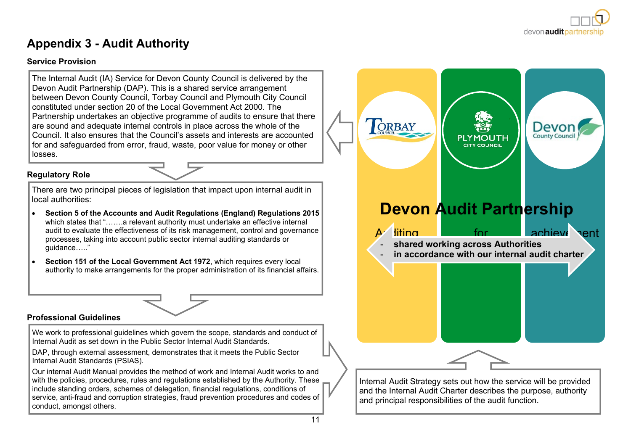

### **Appendix 3 - Audit Authority**

#### **Service Provision**

The Internal Audit (IA) Service for Devon County Council is delivered by the Devon Audit Partnership (DAP). This is a shared service arrangement between Devon County Council, Torbay Council and Plymouth City Council constituted under section 20 of the Local Government Act 2000. The Partnership undertakes an objective programme of audits to ensure that there are sound and adequate internal controls in place across the whole of the Council. It also ensures that the Council's assets and interests are accounted for and safeguarded from error, fraud, waste, poor value for money or other losses.

#### **Regulatory Role**

There are two principal pieces of legislation that impact upon internal audit in local authorities:

- **Section 5 of the Accounts and Audit Regulations (England) Regulations 2015** which states that ".......a relevant authority must undertake an effective internal audit to evaluate the effectiveness of its risk management, control and governance processes, taking into account public sector internal auditing standards or guidance….."
- **Section 151 of the Local Government Act 1972**, which requires every local authority to make arrangements for the proper administration of its financial affairs.

#### **Professional Guidelines**

We work to professional guidelines which govern the scope, standards and conduct of Internal Audit as set down in the Public Sector Internal Audit Standards.

DAP, through external assessment, demonstrates that it meets the Public Sector Internal Audit Standards (PSIAS).

Our internal Audit Manual provides the method of work and Internal Audit works to and with the policies, procedures, rules and regulations established by the Authority. These include standing orders, schemes of delegation, financial regulations, conditions of service, anti-fraud and corruption strategies, fraud prevention procedures and codes of conduct, amongst others.

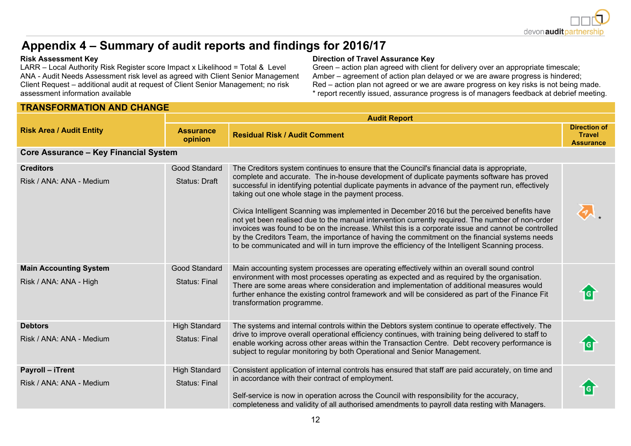

## **Appendix 4 – Summary of audit reports and findings for 2016/17**

LARR – Local Authority Risk Register score Impact x Likelihood = Total & Level ANA - Audit Needs Assessment risk level as agreed with Client Senior Management Client Request – additional audit at request of Client Senior Management; no risk assessment information available

#### **TRANSFORMATION AND CHANGE**

#### **Risk Assessment Key Direction of Travel Assurance Key**

Green – action plan agreed with client for delivery over an appropriate timescale; Amber – agreement of action plan delayed or we are aware progress is hindered; Red – action plan not agreed or we are aware progress on key risks is not being made. \* report recently issued, assurance progress is of managers feedback at debrief meeting.

|                                                         |                                              | <b>Audit Report</b>                                                                                                                                                                                                                                                                                                                                                                                                                                                                                                                                                                                                                                                                                                                                                                                                                                               |                                                          |
|---------------------------------------------------------|----------------------------------------------|-------------------------------------------------------------------------------------------------------------------------------------------------------------------------------------------------------------------------------------------------------------------------------------------------------------------------------------------------------------------------------------------------------------------------------------------------------------------------------------------------------------------------------------------------------------------------------------------------------------------------------------------------------------------------------------------------------------------------------------------------------------------------------------------------------------------------------------------------------------------|----------------------------------------------------------|
| <b>Risk Area / Audit Entity</b>                         | <b>Assurance</b><br>opinion                  | <b>Residual Risk / Audit Comment</b>                                                                                                                                                                                                                                                                                                                                                                                                                                                                                                                                                                                                                                                                                                                                                                                                                              | <b>Direction of</b><br><b>Travel</b><br><b>Assurance</b> |
| <b>Core Assurance - Key Financial System</b>            |                                              |                                                                                                                                                                                                                                                                                                                                                                                                                                                                                                                                                                                                                                                                                                                                                                                                                                                                   |                                                          |
| <b>Creditors</b><br>Risk / ANA: ANA - Medium            | Good Standard<br><b>Status: Draft</b>        | The Creditors system continues to ensure that the Council's financial data is appropriate,<br>complete and accurate. The in-house development of duplicate payments software has proved<br>successful in identifying potential duplicate payments in advance of the payment run, effectively<br>taking out one whole stage in the payment process.<br>Civica Intelligent Scanning was implemented in December 2016 but the perceived benefits have<br>not yet been realised due to the manual intervention currently required. The number of non-order<br>invoices was found to be on the increase. Whilst this is a corporate issue and cannot be controlled<br>by the Creditors Team, the importance of having the commitment on the financial systems needs<br>to be communicated and will in turn improve the efficiency of the Intelligent Scanning process. |                                                          |
| <b>Main Accounting System</b><br>Risk / ANA: ANA - High | Good Standard<br><b>Status: Final</b>        | Main accounting system processes are operating effectively within an overall sound control<br>environment with most processes operating as expected and as required by the organisation.<br>There are some areas where consideration and implementation of additional measures would<br>further enhance the existing control framework and will be considered as part of the Finance Fit<br>transformation programme.                                                                                                                                                                                                                                                                                                                                                                                                                                             |                                                          |
| <b>Debtors</b><br>Risk / ANA: ANA - Medium              | <b>High Standard</b><br><b>Status: Final</b> | The systems and internal controls within the Debtors system continue to operate effectively. The<br>drive to improve overall operational efficiency continues, with training being delivered to staff to<br>enable working across other areas within the Transaction Centre. Debt recovery performance is<br>subject to regular monitoring by both Operational and Senior Management.                                                                                                                                                                                                                                                                                                                                                                                                                                                                             |                                                          |
| Payroll - iTrent<br>Risk / ANA: ANA - Medium            | <b>High Standard</b><br><b>Status: Final</b> | Consistent application of internal controls has ensured that staff are paid accurately, on time and<br>in accordance with their contract of employment.<br>Self-service is now in operation across the Council with responsibility for the accuracy,<br>completeness and validity of all authorised amendments to payroll data resting with Managers.                                                                                                                                                                                                                                                                                                                                                                                                                                                                                                             |                                                          |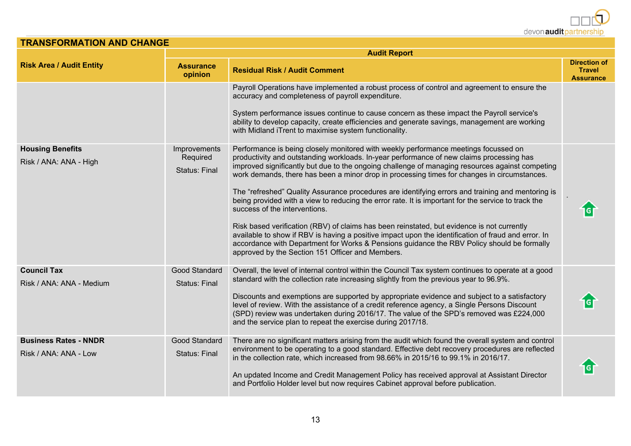

| <b>TRANSFORMATION AND CHANGE</b>                      |                                                  |                                                                                                                                                                                                                                                                                                                                                                                                                                                                                                                                                                                                                                                                                                                                                                                                                                                                                                                                                                                       |                                                          |
|-------------------------------------------------------|--------------------------------------------------|---------------------------------------------------------------------------------------------------------------------------------------------------------------------------------------------------------------------------------------------------------------------------------------------------------------------------------------------------------------------------------------------------------------------------------------------------------------------------------------------------------------------------------------------------------------------------------------------------------------------------------------------------------------------------------------------------------------------------------------------------------------------------------------------------------------------------------------------------------------------------------------------------------------------------------------------------------------------------------------|----------------------------------------------------------|
|                                                       |                                                  | <b>Audit Report</b>                                                                                                                                                                                                                                                                                                                                                                                                                                                                                                                                                                                                                                                                                                                                                                                                                                                                                                                                                                   |                                                          |
| <b>Risk Area / Audit Entity</b>                       | <b>Assurance</b><br>opinion                      | <b>Residual Risk / Audit Comment</b>                                                                                                                                                                                                                                                                                                                                                                                                                                                                                                                                                                                                                                                                                                                                                                                                                                                                                                                                                  | <b>Direction of</b><br><b>Travel</b><br><b>Assurance</b> |
|                                                       |                                                  | Payroll Operations have implemented a robust process of control and agreement to ensure the<br>accuracy and completeness of payroll expenditure.<br>System performance issues continue to cause concern as these impact the Payroll service's<br>ability to develop capacity, create efficiencies and generate savings, management are working<br>with Midland iTrent to maximise system functionality.                                                                                                                                                                                                                                                                                                                                                                                                                                                                                                                                                                               |                                                          |
| <b>Housing Benefits</b><br>Risk / ANA: ANA - High     | Improvements<br>Required<br><b>Status: Final</b> | Performance is being closely monitored with weekly performance meetings focussed on<br>productivity and outstanding workloads. In-year performance of new claims processing has<br>improved significantly but due to the ongoing challenge of managing resources against competing<br>work demands, there has been a minor drop in processing times for changes in circumstances.<br>The "refreshed" Quality Assurance procedures are identifying errors and training and mentoring is<br>being provided with a view to reducing the error rate. It is important for the service to track the<br>success of the interventions.<br>Risk based verification (RBV) of claims has been reinstated, but evidence is not currently<br>available to show if RBV is having a positive impact upon the identification of fraud and error. In<br>accordance with Department for Works & Pensions guidance the RBV Policy should be formally<br>approved by the Section 151 Officer and Members. |                                                          |
| <b>Council Tax</b><br>Risk / ANA: ANA - Medium        | Good Standard<br><b>Status: Final</b>            | Overall, the level of internal control within the Council Tax system continues to operate at a good<br>standard with the collection rate increasing slightly from the previous year to 96.9%.<br>Discounts and exemptions are supported by appropriate evidence and subject to a satisfactory<br>level of review. With the assistance of a credit reference agency, a Single Persons Discount<br>(SPD) review was undertaken during 2016/17. The value of the SPD's removed was £224,000<br>and the service plan to repeat the exercise during 2017/18.                                                                                                                                                                                                                                                                                                                                                                                                                               |                                                          |
| <b>Business Rates - NNDR</b><br>Risk / ANA: ANA - Low | Good Standard<br>Status: Final                   | There are no significant matters arising from the audit which found the overall system and control<br>environment to be operating to a good standard. Effective debt recovery procedures are reflected<br>in the collection rate, which increased from 98.66% in 2015/16 to 99.1% in 2016/17.<br>An updated Income and Credit Management Policy has received approval at Assistant Director<br>and Portfolio Holder level but now requires Cabinet approval before publication.                                                                                                                                                                                                                                                                                                                                                                                                                                                                                                       |                                                          |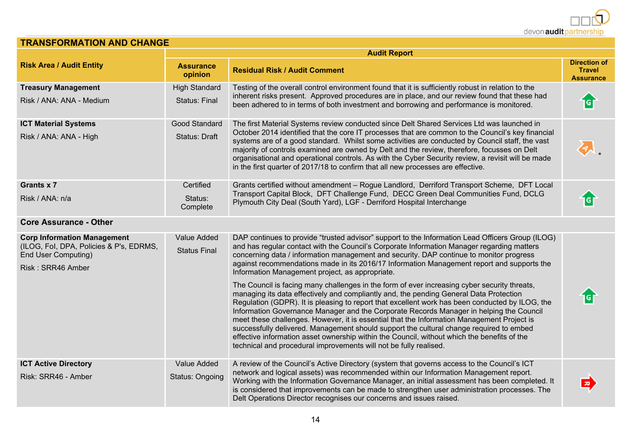

| <b>TRANSFORMATION AND CHANGE</b>                                                                                                 |                                    |                                                                                                                                                                                                                                                                                                                                                                                                                                                                                                                                                                                                                                                                                                                                                                                                                                                                                                                                                                                                                                                                                                                                                                                                 |                                                          |
|----------------------------------------------------------------------------------------------------------------------------------|------------------------------------|-------------------------------------------------------------------------------------------------------------------------------------------------------------------------------------------------------------------------------------------------------------------------------------------------------------------------------------------------------------------------------------------------------------------------------------------------------------------------------------------------------------------------------------------------------------------------------------------------------------------------------------------------------------------------------------------------------------------------------------------------------------------------------------------------------------------------------------------------------------------------------------------------------------------------------------------------------------------------------------------------------------------------------------------------------------------------------------------------------------------------------------------------------------------------------------------------|----------------------------------------------------------|
|                                                                                                                                  |                                    | <b>Audit Report</b>                                                                                                                                                                                                                                                                                                                                                                                                                                                                                                                                                                                                                                                                                                                                                                                                                                                                                                                                                                                                                                                                                                                                                                             |                                                          |
| <b>Risk Area / Audit Entity</b>                                                                                                  | <b>Assurance</b><br>opinion        | <b>Residual Risk / Audit Comment</b>                                                                                                                                                                                                                                                                                                                                                                                                                                                                                                                                                                                                                                                                                                                                                                                                                                                                                                                                                                                                                                                                                                                                                            | <b>Direction of</b><br><b>Travel</b><br><b>Assurance</b> |
| <b>Treasury Management</b>                                                                                                       | <b>High Standard</b>               | Testing of the overall control environment found that it is sufficiently robust in relation to the                                                                                                                                                                                                                                                                                                                                                                                                                                                                                                                                                                                                                                                                                                                                                                                                                                                                                                                                                                                                                                                                                              |                                                          |
| Risk / ANA: ANA - Medium                                                                                                         | <b>Status: Final</b>               | inherent risks present. Approved procedures are in place, and our review found that these had<br>been adhered to in terms of both investment and borrowing and performance is monitored.                                                                                                                                                                                                                                                                                                                                                                                                                                                                                                                                                                                                                                                                                                                                                                                                                                                                                                                                                                                                        | G                                                        |
| <b>ICT Material Systems</b>                                                                                                      | Good Standard                      | The first Material Systems review conducted since Delt Shared Services Ltd was launched in                                                                                                                                                                                                                                                                                                                                                                                                                                                                                                                                                                                                                                                                                                                                                                                                                                                                                                                                                                                                                                                                                                      |                                                          |
| Risk / ANA: ANA - High                                                                                                           | Status: Draft                      | October 2014 identified that the core IT processes that are common to the Council's key financial<br>systems are of a good standard. Whilst some activities are conducted by Council staff, the vast<br>majority of controls examined are owned by Delt and the review, therefore, focusses on Delt<br>organisational and operational controls. As with the Cyber Security review, a revisit will be made<br>in the first quarter of 2017/18 to confirm that all new processes are effective.                                                                                                                                                                                                                                                                                                                                                                                                                                                                                                                                                                                                                                                                                                   |                                                          |
| Grants x 7                                                                                                                       | Certified                          | Grants certified without amendment - Rogue Landlord, Derriford Transport Scheme, DFT Local                                                                                                                                                                                                                                                                                                                                                                                                                                                                                                                                                                                                                                                                                                                                                                                                                                                                                                                                                                                                                                                                                                      |                                                          |
| Risk / ANA: n/a                                                                                                                  | Status:<br>Complete                | Transport Capital Block, DFT Challenge Fund, DECC Green Deal Communities Fund, DCLG<br>Plymouth City Deal (South Yard), LGF - Derriford Hospital Interchange                                                                                                                                                                                                                                                                                                                                                                                                                                                                                                                                                                                                                                                                                                                                                                                                                                                                                                                                                                                                                                    |                                                          |
| <b>Core Assurance - Other</b>                                                                                                    |                                    |                                                                                                                                                                                                                                                                                                                                                                                                                                                                                                                                                                                                                                                                                                                                                                                                                                                                                                                                                                                                                                                                                                                                                                                                 |                                                          |
| <b>Corp Information Management</b><br>(ILOG, Fol, DPA, Policies & P's, EDRMS,<br><b>End User Computing)</b><br>Risk: SRR46 Amber | Value Added<br><b>Status Final</b> | DAP continues to provide "trusted advisor" support to the Information Lead Officers Group (ILOG)<br>and has regular contact with the Council's Corporate Information Manager regarding matters<br>concerning data / information management and security. DAP continue to monitor progress<br>against recommendations made in its 2016/17 Information Management report and supports the<br>Information Management project, as appropriate.<br>The Council is facing many challenges in the form of ever increasing cyber security threats,<br>managing its data effectively and compliantly and, the pending General Data Protection<br>Regulation (GDPR). It is pleasing to report that excellent work has been conducted by ILOG, the<br>Information Governance Manager and the Corporate Records Manager in helping the Council<br>meet these challenges. However, it is essential that the Information Management Project is<br>successfully delivered. Management should support the cultural change required to embed<br>effective information asset ownership within the Council, without which the benefits of the<br>technical and procedural improvements will not be fully realised. |                                                          |
| <b>ICT Active Directory</b>                                                                                                      | Value Added                        | A review of the Council's Active Directory (system that governs access to the Council's ICT                                                                                                                                                                                                                                                                                                                                                                                                                                                                                                                                                                                                                                                                                                                                                                                                                                                                                                                                                                                                                                                                                                     |                                                          |
| Risk: SRR46 - Amber                                                                                                              | Status: Ongoing                    | network and logical assets) was recommended within our Information Management report.<br>Working with the Information Governance Manager, an initial assessment has been completed. It<br>is considered that improvements can be made to strengthen user administration processes. The<br>Delt Operations Director recognises our concerns and issues raised.                                                                                                                                                                                                                                                                                                                                                                                                                                                                                                                                                                                                                                                                                                                                                                                                                                   |                                                          |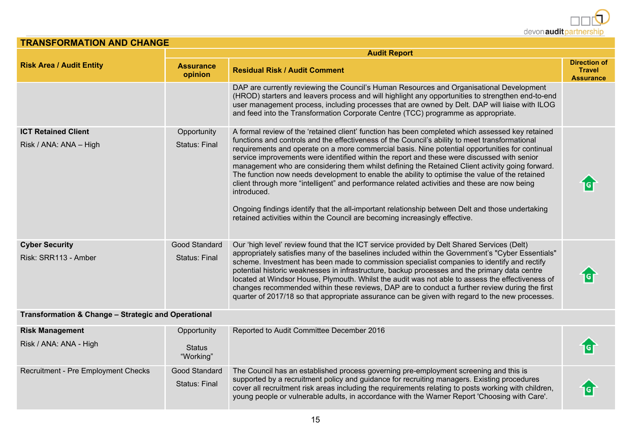| IRANSFURMATION AND CHANGE                            |                                     |                                                                                                                                                                                                                                                                                                                                                                                                                                                                                                                                                                                                                                                                                                                                                                                                                                                                                                             |                                                          |  |
|------------------------------------------------------|-------------------------------------|-------------------------------------------------------------------------------------------------------------------------------------------------------------------------------------------------------------------------------------------------------------------------------------------------------------------------------------------------------------------------------------------------------------------------------------------------------------------------------------------------------------------------------------------------------------------------------------------------------------------------------------------------------------------------------------------------------------------------------------------------------------------------------------------------------------------------------------------------------------------------------------------------------------|----------------------------------------------------------|--|
|                                                      | <b>Audit Report</b>                 |                                                                                                                                                                                                                                                                                                                                                                                                                                                                                                                                                                                                                                                                                                                                                                                                                                                                                                             |                                                          |  |
| <b>Risk Area / Audit Entity</b>                      | <b>Assurance</b><br>opinion         | <b>Residual Risk / Audit Comment</b>                                                                                                                                                                                                                                                                                                                                                                                                                                                                                                                                                                                                                                                                                                                                                                                                                                                                        | <b>Direction of</b><br><b>Travel</b><br><b>Assurance</b> |  |
|                                                      |                                     | DAP are currently reviewing the Council's Human Resources and Organisational Development<br>(HROD) starters and leavers process and will highlight any opportunities to strengthen end-to-end<br>user management process, including processes that are owned by Delt. DAP will liaise with ILOG<br>and feed into the Transformation Corporate Centre (TCC) programme as appropriate.                                                                                                                                                                                                                                                                                                                                                                                                                                                                                                                        |                                                          |  |
| <b>ICT Retained Client</b><br>Risk / ANA: ANA - High | Opportunity<br><b>Status: Final</b> | A formal review of the 'retained client' function has been completed which assessed key retained<br>functions and controls and the effectiveness of the Council's ability to meet transformational<br>requirements and operate on a more commercial basis. Nine potential opportunities for continual<br>service improvements were identified within the report and these were discussed with senior<br>management who are considering them whilst defining the Retained Client activity going forward.<br>The function now needs development to enable the ability to optimise the value of the retained<br>client through more "intelligent" and performance related activities and these are now being<br>introduced.<br>Ongoing findings identify that the all-important relationship between Delt and those undertaking<br>retained activities within the Council are becoming increasingly effective. |                                                          |  |
| <b>Cyber Security</b><br>Risk: SRR113 - Amber        | Good Standard<br>Status: Final      | Our 'high level' review found that the ICT service provided by Delt Shared Services (Delt)<br>appropriately satisfies many of the baselines included within the Government's "Cyber Essentials"<br>scheme. Investment has been made to commission specialist companies to identify and rectify<br>potential historic weaknesses in infrastructure, backup processes and the primary data centre<br>located at Windsor House, Plymouth. Whilst the audit was not able to assess the effectiveness of<br>changes recommended within these reviews, DAP are to conduct a further review during the first<br>quarter of 2017/18 so that appropriate assurance can be given with regard to the new processes.                                                                                                                                                                                                    |                                                          |  |
| Transformation & Change - Strategic and Operational  |                                     |                                                                                                                                                                                                                                                                                                                                                                                                                                                                                                                                                                                                                                                                                                                                                                                                                                                                                                             |                                                          |  |

**TRANSFORMATION AND CHANGE**

| <b>Risk Management</b>              | Opportunity                    | Reported to Audit Committee December 2016                                                                                                                                                                                                                                                                                                                                                     |  |
|-------------------------------------|--------------------------------|-----------------------------------------------------------------------------------------------------------------------------------------------------------------------------------------------------------------------------------------------------------------------------------------------------------------------------------------------------------------------------------------------|--|
| Risk / ANA: ANA - High              | <b>Status</b><br>"Working"     |                                                                                                                                                                                                                                                                                                                                                                                               |  |
| Recruitment - Pre Employment Checks | Good Standard<br>Status: Final | The Council has an established process governing pre-employment screening and this is<br>supported by a recruitment policy and guidance for recruiting managers. Existing procedures<br>cover all recruitment risk areas including the requirements relating to posts working with children,<br>young people or vulnerable adults, in accordance with the Warner Report 'Choosing with Care'. |  |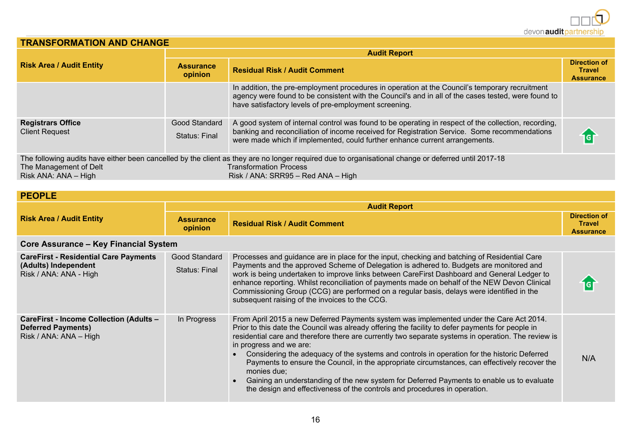

N/A

#### **TRANSFORMATION AND CHANGE**

|                                                   | <b>Audit Report</b>                   |                                                                                                                                                                                                                                                                                     |                                                          |  |
|---------------------------------------------------|---------------------------------------|-------------------------------------------------------------------------------------------------------------------------------------------------------------------------------------------------------------------------------------------------------------------------------------|----------------------------------------------------------|--|
| <b>Risk Area / Audit Entity</b>                   | <b>Assurance</b><br>opinion           | <b>Residual Risk / Audit Comment</b>                                                                                                                                                                                                                                                | <b>Direction of</b><br><b>Travel</b><br><b>Assurance</b> |  |
|                                                   |                                       | In addition, the pre-employment procedures in operation at the Council's temporary recruitment<br>agency were found to be consistent with the Council's and in all of the cases tested, were found to<br>have satisfactory levels of pre-employment screening.                      |                                                          |  |
| <b>Registrars Office</b><br><b>Client Request</b> | Good Standard<br><b>Status: Final</b> | A good system of internal control was found to be operating in respect of the collection, recording,<br>banking and reconciliation of income received for Registration Service. Some recommendations<br>were made which if implemented, could further enhance current arrangements. | ig i                                                     |  |
| The Management of Delt<br>Risk ANA: ANA - High    |                                       | The following audits have either been cancelled by the client as they are no longer required due to organisational change or deferred until 2017-18<br><b>Transformation Process</b><br>Risk / ANA: SRR95 - Red ANA - High                                                          |                                                          |  |

| <b>PEOPLE</b> |  |  |
|---------------|--|--|

|                                                                                                |                                | <b>Audit Report</b>                                                                                                                                                                                                                                                                                                                                                                                                                                                                                                                    |                                                          |
|------------------------------------------------------------------------------------------------|--------------------------------|----------------------------------------------------------------------------------------------------------------------------------------------------------------------------------------------------------------------------------------------------------------------------------------------------------------------------------------------------------------------------------------------------------------------------------------------------------------------------------------------------------------------------------------|----------------------------------------------------------|
| <b>Risk Area / Audit Entity</b><br><b>Assurance</b><br>opinion                                 |                                | <b>Residual Risk / Audit Comment</b>                                                                                                                                                                                                                                                                                                                                                                                                                                                                                                   | <b>Direction of</b><br><b>Travel</b><br><b>Assurance</b> |
| <b>Core Assurance - Key Financial System</b>                                                   |                                |                                                                                                                                                                                                                                                                                                                                                                                                                                                                                                                                        |                                                          |
| <b>CareFirst - Residential Care Payments</b><br>(Adults) Independent<br>Risk / ANA: ANA - High | Good Standard<br>Status: Final | Processes and guidance are in place for the input, checking and batching of Residential Care<br>Payments and the approved Scheme of Delegation is adhered to. Budgets are monitored and<br>work is being undertaken to improve links between CareFirst Dashboard and General Ledger to<br>enhance reporting. Whilst reconciliation of payments made on behalf of the NEW Devon Clinical<br>Commissioning Group (CCG) are performed on a regular basis, delays were identified in the<br>subsequent raising of the invoices to the CCG. | iG                                                       |

| CareFirst - Income Collection (Adults -<br><b>Deferred Payments)</b><br>Risk / ANA: ANA - High | In Progress | From April 2015 a new Deferred Payments system was implemented under the Care Act 2014.<br>Prior to this date the Council was already offering the facility to defer payments for people in<br>residential care and therefore there are currently two separate systems in operation. The review is<br>in progress and we are:<br>Considering the adequacy of the systems and controls in operation for the historic Deferred<br>Payments to ensure the Council, in the appropriate circumstances, can effectively recover the<br>monies due; |
|------------------------------------------------------------------------------------------------|-------------|----------------------------------------------------------------------------------------------------------------------------------------------------------------------------------------------------------------------------------------------------------------------------------------------------------------------------------------------------------------------------------------------------------------------------------------------------------------------------------------------------------------------------------------------|

 Gaining an understanding of the new system for Deferred Payments to enable us to evaluate the design and effectiveness of the controls and procedures in operation.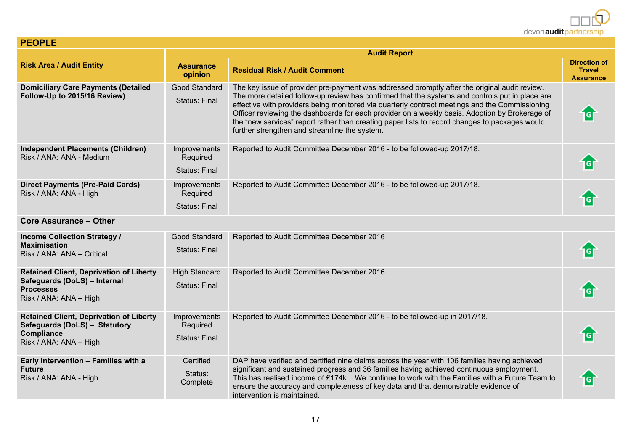

**Direction of Travel Assurance**

合

仓

 $\bullet$ 

合

仓

仓

合

|                                                                                                                                | <b>Audit Report</b>                              |                                                                                                                                                                                                                                                                                                                                                                                                                                                                                                                                                         |  |  |
|--------------------------------------------------------------------------------------------------------------------------------|--------------------------------------------------|---------------------------------------------------------------------------------------------------------------------------------------------------------------------------------------------------------------------------------------------------------------------------------------------------------------------------------------------------------------------------------------------------------------------------------------------------------------------------------------------------------------------------------------------------------|--|--|
| <b>Risk Area / Audit Entity</b>                                                                                                | <b>Assurance</b><br>opinion                      | <b>Residual Risk / Audit Comment</b>                                                                                                                                                                                                                                                                                                                                                                                                                                                                                                                    |  |  |
| <b>Domiciliary Care Payments (Detailed</b><br>Follow-Up to 2015/16 Review)                                                     | Good Standard<br><b>Status: Final</b>            | The key issue of provider pre-payment was addressed promptly after the original audit review.<br>The more detailed follow-up review has confirmed that the systems and controls put in place are<br>effective with providers being monitored via quarterly contract meetings and the Commissioning<br>Officer reviewing the dashboards for each provider on a weekly basis. Adoption by Brokerage of<br>the "new services" report rather than creating paper lists to record changes to packages would<br>further strengthen and streamline the system. |  |  |
| Independent Placements (Children)<br>Risk / ANA: ANA - Medium                                                                  | Improvements<br>Required<br>Status: Final        | Reported to Audit Committee December 2016 - to be followed-up 2017/18.                                                                                                                                                                                                                                                                                                                                                                                                                                                                                  |  |  |
| <b>Direct Payments (Pre-Paid Cards)</b><br>Risk / ANA: ANA - High                                                              | Improvements<br>Required<br><b>Status: Final</b> | Reported to Audit Committee December 2016 - to be followed-up 2017/18.                                                                                                                                                                                                                                                                                                                                                                                                                                                                                  |  |  |
| <b>Core Assurance - Other</b>                                                                                                  |                                                  |                                                                                                                                                                                                                                                                                                                                                                                                                                                                                                                                                         |  |  |
| <b>Income Collection Strategy /</b><br><b>Maximisation</b><br>Risk / ANA: ANA - Critical                                       | Good Standard<br>Status: Final                   | Reported to Audit Committee December 2016                                                                                                                                                                                                                                                                                                                                                                                                                                                                                                               |  |  |
| <b>Retained Client, Deprivation of Liberty</b><br>Safeguards (DoLS) - Internal<br><b>Processes</b><br>Risk / ANA: ANA – High   | <b>High Standard</b><br><b>Status: Final</b>     | Reported to Audit Committee December 2016                                                                                                                                                                                                                                                                                                                                                                                                                                                                                                               |  |  |
| <b>Retained Client, Deprivation of Liberty</b><br>Safeguards (DoLS) - Statutory<br><b>Compliance</b><br>Risk / ANA: ANA – High | Improvements<br>Required<br><b>Status: Final</b> | Reported to Audit Committee December 2016 - to be followed-up in 2017/18.                                                                                                                                                                                                                                                                                                                                                                                                                                                                               |  |  |
| Early intervention - Families with a<br>Future<br>Risk / ANA: ANA - High                                                       | Certified<br>Status:<br>Complete                 | DAP have verified and certified nine claims across the year with 106 families having achieved<br>significant and sustained progress and 36 families having achieved continuous employment.<br>This has realised income of £174k. We continue to work with the Families with a Future Team to<br>ensure the accuracy and completeness of key data and that demonstrable evidence of                                                                                                                                                                      |  |  |

**PEOPLE**

intervention is maintained.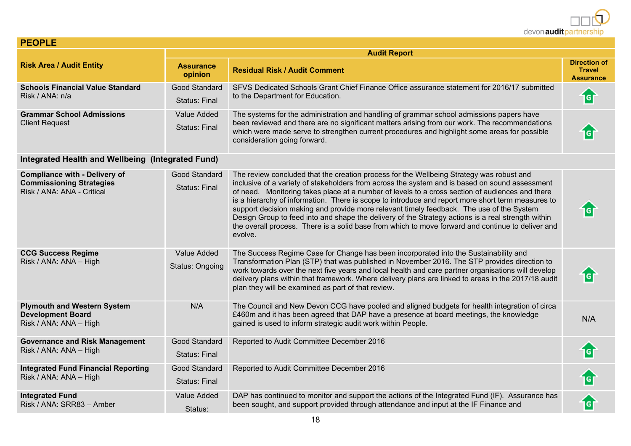

| <b>PEOPLE</b>                                                                                         |                                           |                                                                                                                                                                                                                                                                                                                                                                                                                                                                                                                                                                                                                                                                                                                      |                                                          |  |  |
|-------------------------------------------------------------------------------------------------------|-------------------------------------------|----------------------------------------------------------------------------------------------------------------------------------------------------------------------------------------------------------------------------------------------------------------------------------------------------------------------------------------------------------------------------------------------------------------------------------------------------------------------------------------------------------------------------------------------------------------------------------------------------------------------------------------------------------------------------------------------------------------------|----------------------------------------------------------|--|--|
|                                                                                                       | <b>Audit Report</b>                       |                                                                                                                                                                                                                                                                                                                                                                                                                                                                                                                                                                                                                                                                                                                      |                                                          |  |  |
| <b>Risk Area / Audit Entity</b>                                                                       | <b>Assurance</b><br>opinion               | <b>Residual Risk / Audit Comment</b>                                                                                                                                                                                                                                                                                                                                                                                                                                                                                                                                                                                                                                                                                 | <b>Direction of</b><br><b>Travel</b><br><b>Assurance</b> |  |  |
| <b>Schools Financial Value Standard</b><br>Risk / ANA: n/a                                            | Good Standard<br><b>Status: Final</b>     | SFVS Dedicated Schools Grant Chief Finance Office assurance statement for 2016/17 submitted<br>to the Department for Education.                                                                                                                                                                                                                                                                                                                                                                                                                                                                                                                                                                                      | G                                                        |  |  |
| <b>Grammar School Admissions</b><br><b>Client Request</b>                                             | Value Added<br><b>Status: Final</b>       | The systems for the administration and handling of grammar school admissions papers have<br>been reviewed and there are no significant matters arising from our work. The recommendations<br>which were made serve to strengthen current procedures and highlight some areas for possible<br>consideration going forward.                                                                                                                                                                                                                                                                                                                                                                                            |                                                          |  |  |
| Integrated Health and Wellbeing (Integrated Fund)                                                     |                                           |                                                                                                                                                                                                                                                                                                                                                                                                                                                                                                                                                                                                                                                                                                                      |                                                          |  |  |
| <b>Compliance with - Delivery of</b><br><b>Commissioning Strategies</b><br>Risk / ANA: ANA - Critical | Good Standard<br>Status: Final            | The review concluded that the creation process for the Wellbeing Strategy was robust and<br>inclusive of a variety of stakeholders from across the system and is based on sound assessment<br>of need. Monitoring takes place at a number of levels to a cross section of audiences and there<br>is a hierarchy of information. There is scope to introduce and report more short term measures to<br>support decision making and provide more relevant timely feedback. The use of the System<br>Design Group to feed into and shape the delivery of the Strategy actions is a real strength within<br>the overall process. There is a solid base from which to move forward and continue to deliver and<br>evolve. |                                                          |  |  |
| <b>CCG Success Regime</b><br>Risk / ANA: ANA - High                                                   | Value Added<br>Status: Ongoing            | The Success Regime Case for Change has been incorporated into the Sustainability and<br>Transformation Plan (STP) that was published in November 2016. The STP provides direction to<br>work towards over the next five years and local health and care partner organisations will develop<br>delivery plans within that framework. Where delivery plans are linked to areas in the 2017/18 audit<br>plan they will be examined as part of that review.                                                                                                                                                                                                                                                              | $\overline{\mathsf{G}}$                                  |  |  |
| <b>Plymouth and Western System</b><br><b>Development Board</b><br>Risk / ANA: ANA - High              | N/A                                       | The Council and New Devon CCG have pooled and aligned budgets for health integration of circa<br>£460m and it has been agreed that DAP have a presence at board meetings, the knowledge<br>gained is used to inform strategic audit work within People.                                                                                                                                                                                                                                                                                                                                                                                                                                                              | N/A                                                      |  |  |
| <b>Governance and Risk Management</b><br>Risk / ANA: ANA - High                                       | Good Standard<br><b>Status: Final</b>     | Reported to Audit Committee December 2016                                                                                                                                                                                                                                                                                                                                                                                                                                                                                                                                                                                                                                                                            |                                                          |  |  |
| <b>Integrated Fund Financial Reporting</b><br>Risk / ANA: ANA - High                                  | Reported to Audit Committee December 2016 | <b>G</b>                                                                                                                                                                                                                                                                                                                                                                                                                                                                                                                                                                                                                                                                                                             |                                                          |  |  |
| <b>Integrated Fund</b><br>Risk / ANA: SRR83 - Amber                                                   | Value Added<br>Status:                    | DAP has continued to monitor and support the actions of the Integrated Fund (IF). Assurance has<br>been sought, and support provided through attendance and input at the IF Finance and                                                                                                                                                                                                                                                                                                                                                                                                                                                                                                                              | <b>G</b>                                                 |  |  |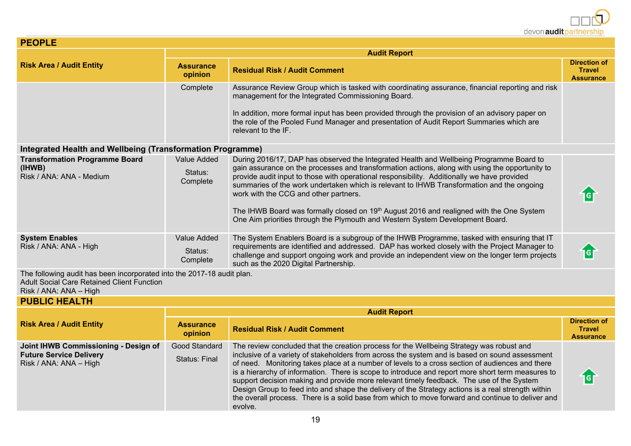

| <b>PEOPLE</b>                                                               |                                    |                                                                                                                                                                                                                                                                                                                                                                                                                                                                                                                                                                                                              |                                                          |  |
|-----------------------------------------------------------------------------|------------------------------------|--------------------------------------------------------------------------------------------------------------------------------------------------------------------------------------------------------------------------------------------------------------------------------------------------------------------------------------------------------------------------------------------------------------------------------------------------------------------------------------------------------------------------------------------------------------------------------------------------------------|----------------------------------------------------------|--|
|                                                                             | <b>Audit Report</b>                |                                                                                                                                                                                                                                                                                                                                                                                                                                                                                                                                                                                                              |                                                          |  |
| <b>Risk Area / Audit Entity</b>                                             | <b>Assurance</b><br>opinion        | <b>Residual Risk / Audit Comment</b>                                                                                                                                                                                                                                                                                                                                                                                                                                                                                                                                                                         | <b>Direction of</b><br><b>Travel</b><br><b>Assurance</b> |  |
|                                                                             | Complete                           | Assurance Review Group which is tasked with coordinating assurance, financial reporting and risk<br>management for the Integrated Commissioning Board.<br>In addition, more formal input has been provided through the provision of an advisory paper on<br>the role of the Pooled Fund Manager and presentation of Audit Report Summaries which are<br>relevant to the IF.                                                                                                                                                                                                                                  |                                                          |  |
| Integrated Health and Wellbeing (Transformation Programme)                  |                                    |                                                                                                                                                                                                                                                                                                                                                                                                                                                                                                                                                                                                              |                                                          |  |
| <b>Transformation Programme Board</b><br>(IHWB)<br>Risk / ANA: ANA - Medium | Value Added<br>Status:<br>Complete | During 2016/17, DAP has observed the Integrated Health and Wellbeing Programme Board to<br>gain assurance on the processes and transformation actions, along with using the opportunity to<br>provide audit input to those with operational responsibility. Additionally we have provided<br>summaries of the work undertaken which is relevant to IHWB Transformation and the ongoing<br>work with the CCG and other partners.<br>The IHWB Board was formally closed on 19th August 2016 and realigned with the One System<br>One Aim priorities through the Plymouth and Western System Development Board. | 1G                                                       |  |
| <b>System Enables</b><br>Risk / ANA: ANA - High                             | Value Added<br>Status:<br>Complete | The System Enablers Board is a subgroup of the IHWB Programme, tasked with ensuring that IT<br>requirements are identified and addressed. DAP has worked closely with the Project Manager to<br>challenge and support ongoing work and provide an independent view on the longer term projects<br>such as the 2020 Digital Partnership.                                                                                                                                                                                                                                                                      | G                                                        |  |
| The following audit has been incorporated into the 2017-18 audit plan.      |                                    |                                                                                                                                                                                                                                                                                                                                                                                                                                                                                                                                                                                                              |                                                          |  |

Adult Social Care Retained Client Function

Risk / ANA: ANA – High

#### **PUBLIC HEALTH**

|                                                                                                  | <b>Audit Report</b>                   |                                                                                                                                                                                                                                                                                                                                                                                                                                                                                                                                                                                                                                                                                                                      |                                                   |  |
|--------------------------------------------------------------------------------------------------|---------------------------------------|----------------------------------------------------------------------------------------------------------------------------------------------------------------------------------------------------------------------------------------------------------------------------------------------------------------------------------------------------------------------------------------------------------------------------------------------------------------------------------------------------------------------------------------------------------------------------------------------------------------------------------------------------------------------------------------------------------------------|---------------------------------------------------|--|
| <b>Risk Area / Audit Entity</b>                                                                  | <b>Assurance</b><br>opinion           | <b>Residual Risk / Audit Comment</b>                                                                                                                                                                                                                                                                                                                                                                                                                                                                                                                                                                                                                                                                                 | Direction of<br><b>Travel</b><br><b>Assurance</b> |  |
| Joint IHWB Commissioning - Design of<br><b>Future Service Delivery</b><br>Risk / ANA: ANA - High | Good Standard<br><b>Status: Final</b> | The review concluded that the creation process for the Wellbeing Strategy was robust and<br>inclusive of a variety of stakeholders from across the system and is based on sound assessment<br>of need. Monitoring takes place at a number of levels to a cross section of audiences and there<br>is a hierarchy of information. There is scope to introduce and report more short term measures to<br>support decision making and provide more relevant timely feedback. The use of the System<br>Design Group to feed into and shape the delivery of the Strategy actions is a real strength within<br>the overall process. There is a solid base from which to move forward and continue to deliver and<br>evolve. | ig                                                |  |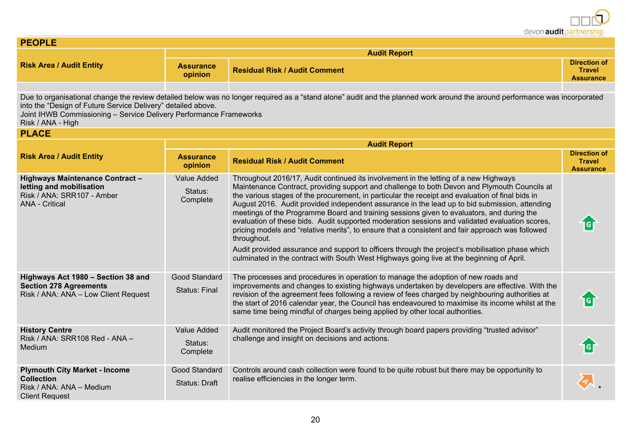| <b>PEOPLE</b>                                                                                                                                           |                                    |                                                                                                                                                                                                                                                                                                                                                                                                                                                                                                                                                                                                                                                                                                                                                                                                                                                                                                             |                                                          |  |
|---------------------------------------------------------------------------------------------------------------------------------------------------------|------------------------------------|-------------------------------------------------------------------------------------------------------------------------------------------------------------------------------------------------------------------------------------------------------------------------------------------------------------------------------------------------------------------------------------------------------------------------------------------------------------------------------------------------------------------------------------------------------------------------------------------------------------------------------------------------------------------------------------------------------------------------------------------------------------------------------------------------------------------------------------------------------------------------------------------------------------|----------------------------------------------------------|--|
|                                                                                                                                                         | <b>Audit Report</b>                |                                                                                                                                                                                                                                                                                                                                                                                                                                                                                                                                                                                                                                                                                                                                                                                                                                                                                                             |                                                          |  |
| <b>Risk Area / Audit Entity</b>                                                                                                                         | <b>Assurance</b><br>opinion        | <b>Residual Risk / Audit Comment</b>                                                                                                                                                                                                                                                                                                                                                                                                                                                                                                                                                                                                                                                                                                                                                                                                                                                                        |                                                          |  |
| into the "Design of Future Service Delivery" detailed above.<br>Joint IHWB Commissioning - Service Delivery Performance Frameworks<br>Risk / ANA - High |                                    | Due to organisational change the review detailed below was no longer required as a "stand alone" audit and the planned work around the around performance was incorporated                                                                                                                                                                                                                                                                                                                                                                                                                                                                                                                                                                                                                                                                                                                                  |                                                          |  |
| <b>PLACE</b>                                                                                                                                            |                                    |                                                                                                                                                                                                                                                                                                                                                                                                                                                                                                                                                                                                                                                                                                                                                                                                                                                                                                             |                                                          |  |
|                                                                                                                                                         |                                    | <b>Audit Report</b>                                                                                                                                                                                                                                                                                                                                                                                                                                                                                                                                                                                                                                                                                                                                                                                                                                                                                         |                                                          |  |
| <b>Risk Area / Audit Entity</b>                                                                                                                         | <b>Assurance</b><br>opinion        | <b>Residual Risk / Audit Comment</b>                                                                                                                                                                                                                                                                                                                                                                                                                                                                                                                                                                                                                                                                                                                                                                                                                                                                        | <b>Direction of</b><br><b>Travel</b><br><b>Assurance</b> |  |
| <b>Highways Maintenance Contract -</b><br>letting and mobilisation<br>Risk / ANA: SRR107 - Amber<br><b>ANA - Critical</b>                               | Value Added<br>Status:<br>Complete | Throughout 2016/17, Audit continued its involvement in the letting of a new Highways<br>Maintenance Contract, providing support and challenge to both Devon and Plymouth Councils at<br>the various stages of the procurement, in particular the receipt and evaluation of final bids in<br>August 2016. Audit provided independent assurance in the lead up to bid submission, attending<br>meetings of the Programme Board and training sessions given to evaluators, and during the<br>evaluation of these bids. Audit supported moderation sessions and validated evaluation scores,<br>pricing models and "relative merits", to ensure that a consistent and fair approach was followed<br>throughout.<br>Audit provided assurance and support to officers through the project's mobilisation phase which<br>culminated in the contract with South West Highways going live at the beginning of April. |                                                          |  |
| Highways Act 1980 - Section 38 and<br><b>Section 278 Agreements</b><br>Risk / ANA: ANA - Low Client Request                                             | Good Standard<br>Status: Final     | The processes and procedures in operation to manage the adoption of new roads and<br>improvements and changes to existing highways undertaken by developers are effective. With the<br>revision of the agreement fees following a review of fees charged by neighbouring authorities at<br>the start of 2016 calendar year, the Council has endeavoured to maximise its income whilst at the<br>same time being mindful of charges being applied by other local authorities.                                                                                                                                                                                                                                                                                                                                                                                                                                | 1G                                                       |  |
| <b>History Centre</b><br>Risk / ANA: SRR108 Red - ANA -<br><b>Medium</b>                                                                                | Value Added<br>Status:<br>Complete | Audit monitored the Project Board's activity through board papers providing "trusted advisor"<br>challenge and insight on decisions and actions.                                                                                                                                                                                                                                                                                                                                                                                                                                                                                                                                                                                                                                                                                                                                                            | <b>IG</b>                                                |  |
| <b>Plymouth City Market - Income</b><br><b>Collection</b><br>Risk / ANA: ANA - Medium<br><b>Client Request</b>                                          | Good Standard<br>Status: Draft     | Controls around cash collection were found to be quite robust but there may be opportunity to<br>realise efficiencies in the longer term.                                                                                                                                                                                                                                                                                                                                                                                                                                                                                                                                                                                                                                                                                                                                                                   |                                                          |  |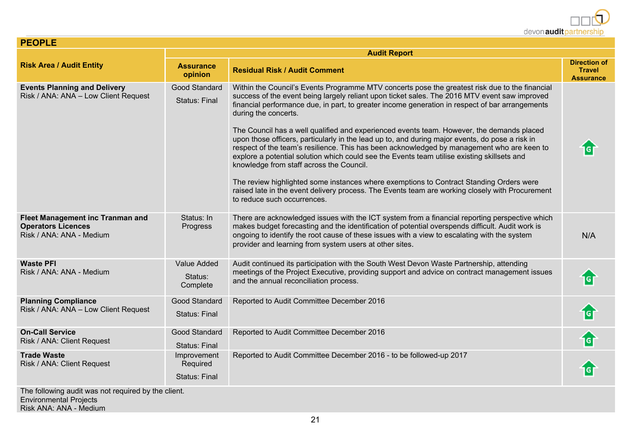| <b>PEOPLE</b>                                                                                    |                                                 |                                                                                                                                                                                                                                                                                                                                                                                                                                                                                                                                                                                                                                                                                                                                                                                                                                                                                                                                                                                                  |                                                          |  |  |
|--------------------------------------------------------------------------------------------------|-------------------------------------------------|--------------------------------------------------------------------------------------------------------------------------------------------------------------------------------------------------------------------------------------------------------------------------------------------------------------------------------------------------------------------------------------------------------------------------------------------------------------------------------------------------------------------------------------------------------------------------------------------------------------------------------------------------------------------------------------------------------------------------------------------------------------------------------------------------------------------------------------------------------------------------------------------------------------------------------------------------------------------------------------------------|----------------------------------------------------------|--|--|
|                                                                                                  | <b>Audit Report</b>                             |                                                                                                                                                                                                                                                                                                                                                                                                                                                                                                                                                                                                                                                                                                                                                                                                                                                                                                                                                                                                  |                                                          |  |  |
| <b>Risk Area / Audit Entity</b>                                                                  | <b>Assurance</b><br>opinion                     | <b>Residual Risk / Audit Comment</b>                                                                                                                                                                                                                                                                                                                                                                                                                                                                                                                                                                                                                                                                                                                                                                                                                                                                                                                                                             | <b>Direction of</b><br><b>Travel</b><br><b>Assurance</b> |  |  |
| <b>Events Planning and Delivery</b><br>Risk / ANA: ANA - Low Client Request                      | Good Standard<br><b>Status: Final</b>           | Within the Council's Events Programme MTV concerts pose the greatest risk due to the financial<br>success of the event being largely reliant upon ticket sales. The 2016 MTV event saw improved<br>financial performance due, in part, to greater income generation in respect of bar arrangements<br>during the concerts.<br>The Council has a well qualified and experienced events team. However, the demands placed<br>upon those officers, particularly in the lead up to, and during major events, do pose a risk in<br>respect of the team's resilience. This has been acknowledged by management who are keen to<br>explore a potential solution which could see the Events team utilise existing skillsets and<br>knowledge from staff across the Council.<br>The review highlighted some instances where exemptions to Contract Standing Orders were<br>raised late in the event delivery process. The Events team are working closely with Procurement<br>to reduce such occurrences. |                                                          |  |  |
| <b>Fleet Management inc Tranman and</b><br><b>Operators Licences</b><br>Risk / ANA: ANA - Medium | Status: In<br>Progress                          | There are acknowledged issues with the ICT system from a financial reporting perspective which<br>makes budget forecasting and the identification of potential overspends difficult. Audit work is<br>ongoing to identify the root cause of these issues with a view to escalating with the system<br>provider and learning from system users at other sites.                                                                                                                                                                                                                                                                                                                                                                                                                                                                                                                                                                                                                                    | N/A                                                      |  |  |
| <b>Waste PFI</b><br>Risk / ANA: ANA - Medium                                                     | <b>Value Added</b><br>Status:<br>Complete       | Audit continued its participation with the South West Devon Waste Partnership, attending<br>meetings of the Project Executive, providing support and advice on contract management issues<br>and the annual reconciliation process.                                                                                                                                                                                                                                                                                                                                                                                                                                                                                                                                                                                                                                                                                                                                                              | ाब                                                       |  |  |
| <b>Planning Compliance</b><br>Risk / ANA: ANA - Low Client Request                               | Good Standard<br><b>Status: Final</b>           | Reported to Audit Committee December 2016                                                                                                                                                                                                                                                                                                                                                                                                                                                                                                                                                                                                                                                                                                                                                                                                                                                                                                                                                        | igi                                                      |  |  |
| <b>On-Call Service</b><br>Risk / ANA: Client Request                                             | Good Standard<br><b>Status: Final</b>           | Reported to Audit Committee December 2016                                                                                                                                                                                                                                                                                                                                                                                                                                                                                                                                                                                                                                                                                                                                                                                                                                                                                                                                                        |                                                          |  |  |
| <b>Trade Waste</b><br>Risk / ANA: Client Request                                                 | Improvement<br>Required<br><b>Status: Final</b> | Reported to Audit Committee December 2016 - to be followed-up 2017                                                                                                                                                                                                                                                                                                                                                                                                                                                                                                                                                                                                                                                                                                                                                                                                                                                                                                                               | G                                                        |  |  |
| The following audit was not required by the client.<br><b>Environmental Projects</b>             |                                                 |                                                                                                                                                                                                                                                                                                                                                                                                                                                                                                                                                                                                                                                                                                                                                                                                                                                                                                                                                                                                  |                                                          |  |  |

Risk ANA: ANA - Medium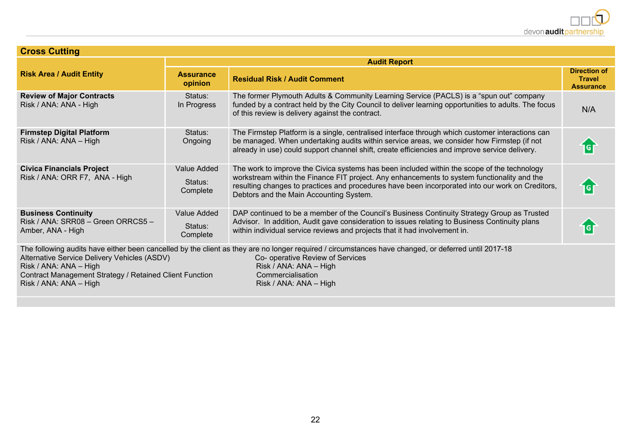| <b>Cross Cutting</b>                                                                                                                                        |                                    |                                                                                                                                                                                                                                                                                                                                           |                                                          |  |
|-------------------------------------------------------------------------------------------------------------------------------------------------------------|------------------------------------|-------------------------------------------------------------------------------------------------------------------------------------------------------------------------------------------------------------------------------------------------------------------------------------------------------------------------------------------|----------------------------------------------------------|--|
|                                                                                                                                                             | <b>Audit Report</b>                |                                                                                                                                                                                                                                                                                                                                           |                                                          |  |
| <b>Risk Area / Audit Entity</b>                                                                                                                             | <b>Assurance</b><br>opinion        | <b>Residual Risk / Audit Comment</b>                                                                                                                                                                                                                                                                                                      | <b>Direction of</b><br><b>Travel</b><br><b>Assurance</b> |  |
| <b>Review of Major Contracts</b><br>Risk / ANA: ANA - High                                                                                                  | Status:<br>In Progress             | The former Plymouth Adults & Community Learning Service (PACLS) is a "spun out" company<br>funded by a contract held by the City Council to deliver learning opportunities to adults. The focus<br>of this review is delivery against the contract.                                                                                       | N/A                                                      |  |
| <b>Firmstep Digital Platform</b><br>Risk / ANA: ANA - High                                                                                                  | Status:<br>Ongoing                 | The Firmstep Platform is a single, centralised interface through which customer interactions can<br>be managed. When undertaking audits within service areas, we consider how Firmstep (if not<br>already in use) could support channel shift, create efficiencies and improve service delivery.                                          |                                                          |  |
| <b>Civica Financials Project</b><br>Risk / ANA: ORR F7, ANA - High                                                                                          | Value Added<br>Status:<br>Complete | The work to improve the Civica systems has been included within the scope of the technology<br>workstream within the Finance FIT project. Any enhancements to system functionality and the<br>resulting changes to practices and procedures have been incorporated into our work on Creditors,<br>Debtors and the Main Accounting System. | G                                                        |  |
| <b>Business Continuity</b><br>Risk / ANA: SRR08 - Green ORRCS5 -<br>Amber, ANA - High                                                                       | Value Added<br>Status:<br>Complete | DAP continued to be a member of the Council's Business Continuity Strategy Group as Trusted<br>Advisor. In addition, Audit gave consideration to issues relating to Business Continuity plans<br>within individual service reviews and projects that it had involvement in.                                                               |                                                          |  |
| Alternative Service Delivery Vehicles (ASDV)<br>Risk / ANA: ANA - High<br>Contract Management Strategy / Retained Client Function<br>Risk / ANA: ANA - High |                                    | The following audits have either been cancelled by the client as they are no longer required / circumstances have changed, or deferred until 2017-18<br>Co- operative Review of Services<br>Risk / ANA: ANA - High<br>Commercialisation<br>Risk / ANA: ANA - High                                                                         |                                                          |  |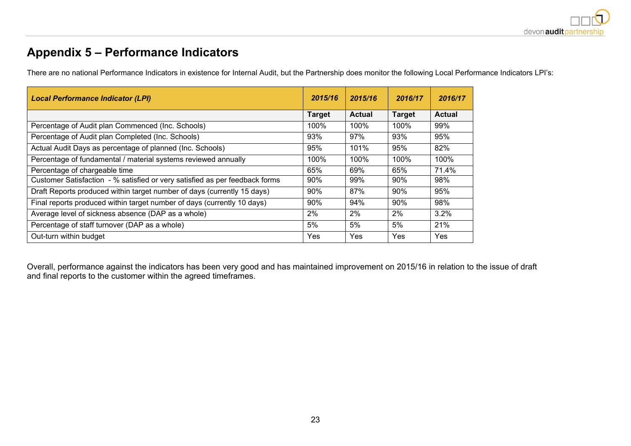### **Appendix 5 – Performance Indicators**

There are no national Performance Indicators in existence for Internal Audit, but the Partnership does monitor the following Local Performance Indicators LPI's:

| <b>Local Performance Indicator (LPI)</b>                                    | 2015/16       | 2015/16       | 2016/17       | 2016/17       |
|-----------------------------------------------------------------------------|---------------|---------------|---------------|---------------|
|                                                                             | <b>Target</b> | <b>Actual</b> | <b>Target</b> | <b>Actual</b> |
| Percentage of Audit plan Commenced (Inc. Schools)                           | 100%          | 100%          | 100%          | 99%           |
| Percentage of Audit plan Completed (Inc. Schools)                           | 93%           | 97%           | 93%           | 95%           |
| Actual Audit Days as percentage of planned (Inc. Schools)                   | 95%           | 101%          | 95%           | 82%           |
| Percentage of fundamental / material systems reviewed annually              | 100%          | 100%          | 100%          | 100%          |
| Percentage of chargeable time                                               | 65%           | 69%           | 65%           | 71.4%         |
| Customer Satisfaction - % satisfied or very satisfied as per feedback forms | 90%           | 99%           | 90%           | 98%           |
| Draft Reports produced within target number of days (currently 15 days)     | 90%           | 87%           | 90%           | 95%           |
| Final reports produced within target number of days (currently 10 days)     | 90%           | 94%           | 90%           | 98%           |
| Average level of sickness absence (DAP as a whole)                          | 2%            | 2%            | 2%            | 3.2%          |
| Percentage of staff turnover (DAP as a whole)                               | 5%            | 5%            | 5%            | 21%           |
| Out-turn within budget                                                      | Yes           | Yes           | Yes           | Yes           |

Overall, performance against the indicators has been very good and has maintained improvement on 2015/16 in relation to the issue of draft and final reports to the customer within the agreed timeframes.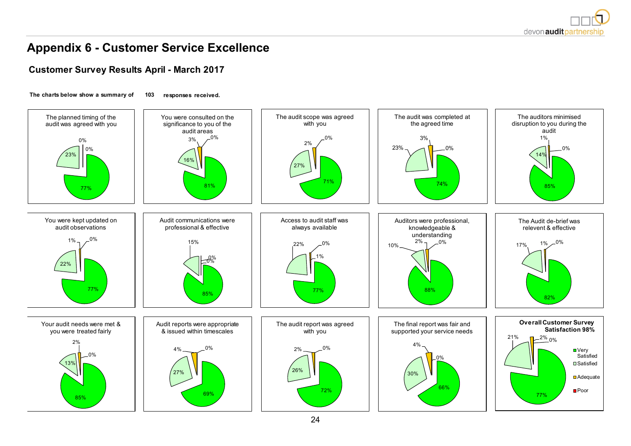

### **Appendix 6 - Customer Service Excellence**

#### **Customer Survey Results April - March 2017**

**The charts below show a summary of 103 responses received.**